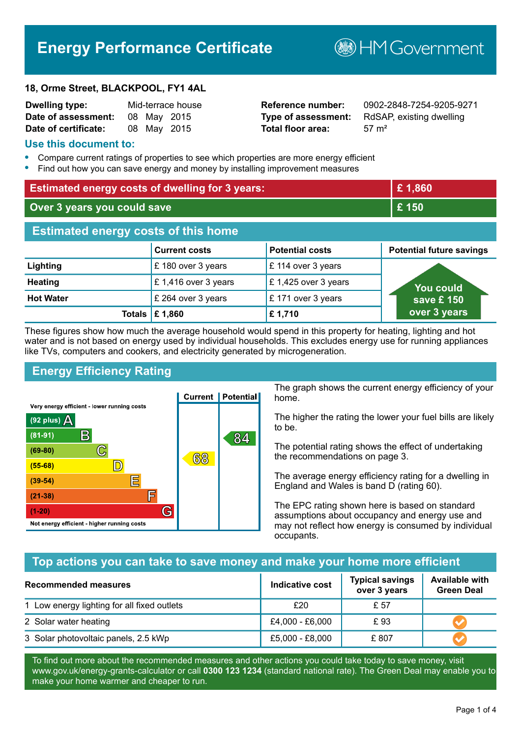# **Energy Performance Certificate**

#### **18, Orme Street, BLACKPOOL, FY1 4AL**

| <b>Dwelling type:</b> |  | Mid-terrace house |
|-----------------------|--|-------------------|
| Date of assessment:   |  | 08 May 2015       |
| Date of certificate:  |  | 08 May 2015       |

# **Total floor area:** 57 m<sup>2</sup>

**Dwelling type:** Mid-terrace house **Reference number:** 0902-2848-7254-9205-9271 **Type of assessment:** RdSAP, existing dwelling

**B**HM Government

#### **Use this document to:**

- **•** Compare current ratings of properties to see which properties are more energy efficient
- **•** Find out how you can save energy and money by installing improvement measures

| <b>Estimated energy costs of dwelling for 3 years:</b> |                      | £1,860                 |                                                   |  |
|--------------------------------------------------------|----------------------|------------------------|---------------------------------------------------|--|
| Over 3 years you could save                            |                      | £150                   |                                                   |  |
| <b>Estimated energy costs of this home</b>             |                      |                        |                                                   |  |
|                                                        | <b>Current costs</b> | <b>Potential costs</b> | <b>Potential future savings</b>                   |  |
| Lighting                                               | £180 over 3 years    | £ 114 over 3 years     |                                                   |  |
| <b>Heating</b>                                         | £1,416 over 3 years  | £1,425 over 3 years    | You could<br>save £ $150^{\circ}$<br>over 3 years |  |
| <b>Hot Water</b>                                       | £ 264 over 3 years   | £171 over 3 years      |                                                   |  |
| <b>Totals</b>                                          | £1,860               | £1,710                 |                                                   |  |

These figures show how much the average household would spend in this property for heating, lighting and hot water and is not based on energy used by individual households. This excludes energy use for running appliances like TVs, computers and cookers, and electricity generated by microgeneration.

# **Energy Efficiency Rating**



The graph shows the current energy efficiency of your home.

The higher the rating the lower your fuel bills are likely to be.

The potential rating shows the effect of undertaking the recommendations on page 3.

The average energy efficiency rating for a dwelling in England and Wales is band D (rating 60).

The EPC rating shown here is based on standard assumptions about occupancy and energy use and may not reflect how energy is consumed by individual occupants.

# **Top actions you can take to save money and make your home more efficient**

| Recommended measures                        | Indicative cost | <b>Typical savings</b><br>over 3 years | <b>Available with</b><br><b>Green Deal</b> |
|---------------------------------------------|-----------------|----------------------------------------|--------------------------------------------|
| 1 Low energy lighting for all fixed outlets | £20             | £ 57                                   |                                            |
| 2 Solar water heating                       | £4,000 - £6,000 | £93                                    |                                            |
| 3 Solar photovoltaic panels, 2.5 kWp        | £5,000 - £8,000 | £807                                   |                                            |

To find out more about the recommended measures and other actions you could take today to save money, visit www.gov.uk/energy-grants-calculator or call **0300 123 1234** (standard national rate). The Green Deal may enable you to make your home warmer and cheaper to run.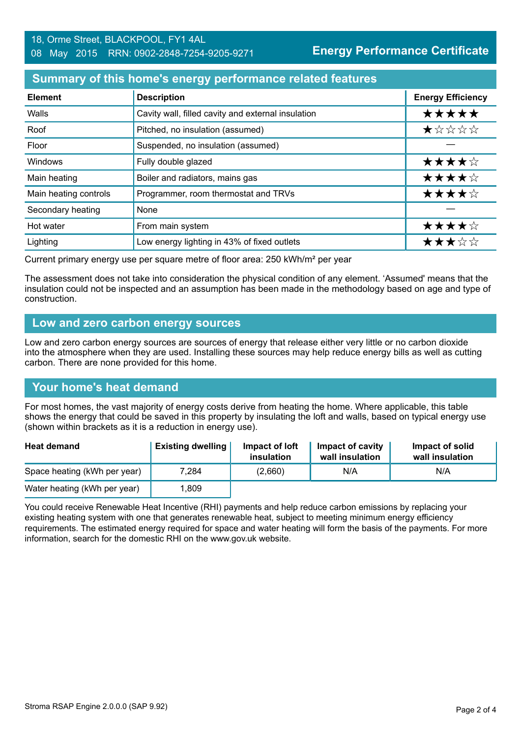### **Summary of this home's energy performance related features**

| <b>Element</b>        | <b>Description</b>                                 | <b>Energy Efficiency</b> |
|-----------------------|----------------------------------------------------|--------------------------|
| Walls                 | Cavity wall, filled cavity and external insulation | *****                    |
| Roof                  | Pitched, no insulation (assumed)                   | $\star$ * * * *          |
| Floor                 | Suspended, no insulation (assumed)                 |                          |
| Windows               | Fully double glazed                                | ★★★★☆                    |
| Main heating          | Boiler and radiators, mains gas                    | ★★★★☆                    |
| Main heating controls | Programmer, room thermostat and TRVs               | ★★★★☆                    |
| Secondary heating     | None                                               |                          |
| Hot water             | From main system                                   | ★★★★☆                    |
| Lighting              | Low energy lighting in 43% of fixed outlets        | ★★★☆☆                    |

Current primary energy use per square metre of floor area: 250 kWh/m² per year

The assessment does not take into consideration the physical condition of any element. 'Assumed' means that the insulation could not be inspected and an assumption has been made in the methodology based on age and type of construction.

#### **Low and zero carbon energy sources**

Low and zero carbon energy sources are sources of energy that release either very little or no carbon dioxide into the atmosphere when they are used. Installing these sources may help reduce energy bills as well as cutting carbon. There are none provided for this home.

# **Your home's heat demand**

For most homes, the vast majority of energy costs derive from heating the home. Where applicable, this table shows the energy that could be saved in this property by insulating the loft and walls, based on typical energy use (shown within brackets as it is a reduction in energy use).

| <b>Heat demand</b>           | <b>Existing dwelling</b> | Impact of loft<br>insulation | Impact of cavity<br>wall insulation | Impact of solid<br>wall insulation |
|------------------------------|--------------------------|------------------------------|-------------------------------------|------------------------------------|
| Space heating (kWh per year) | 7.284                    | (2,660)                      | N/A                                 | N/A                                |
| Water heating (kWh per year) | .809                     |                              |                                     |                                    |

You could receive Renewable Heat Incentive (RHI) payments and help reduce carbon emissions by replacing your existing heating system with one that generates renewable heat, subject to meeting minimum energy efficiency requirements. The estimated energy required for space and water heating will form the basis of the payments. For more information, search for the domestic RHI on the www.gov.uk website.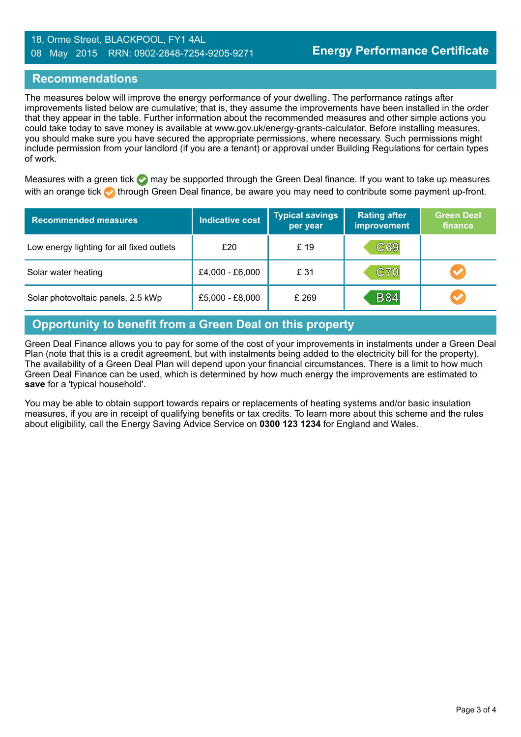#### 18, Orme Street, BLACKPOOL, FY1 4AL 08 May 2015 RRN: 0902-2848-7254-9205-9271

### **Recommendations**

The measures below will improve the energy performance of your dwelling. The performance ratings after improvements listed below are cumulative; that is, they assume the improvements have been installed in the order that they appear in the table. Further information about the recommended measures and other simple actions you could take today to save money is available at www.gov.uk/energy-grants-calculator. Before installing measures, you should make sure you have secured the appropriate permissions, where necessary. Such permissions might include permission from your landlord (if you are a tenant) or approval under Building Regulations for certain types of work.

Measures with a green tick  $\bullet$  may be supported through the Green Deal finance. If you want to take up measures with an orange tick **th** through Green Deal finance, be aware you may need to contribute some payment up-front.

| <b>Recommended measures</b>               | Indicative cost | <b>Typical savings</b><br>per year | <b>Rating after</b><br>improvement | <b>Green Deal</b><br>finance |
|-------------------------------------------|-----------------|------------------------------------|------------------------------------|------------------------------|
| Low energy lighting for all fixed outlets | £20             | £ 19                               | C69                                |                              |
| Solar water heating                       | £4,000 - £6,000 | £ 31                               | <b>C70</b>                         | <b>AT</b>                    |
| Solar photovoltaic panels, 2.5 kWp        | £5,000 - £8,000 | £ 269                              | <b>B84</b>                         | $\bigvee$                    |

# **Opportunity to benefit from a Green Deal on this property**

Green Deal Finance allows you to pay for some of the cost of your improvements in instalments under a Green Deal Plan (note that this is a credit agreement, but with instalments being added to the electricity bill for the property). The availability of a Green Deal Plan will depend upon your financial circumstances. There is a limit to how much Green Deal Finance can be used, which is determined by how much energy the improvements are estimated to **save** for a 'typical household'.

You may be able to obtain support towards repairs or replacements of heating systems and/or basic insulation measures, if you are in receipt of qualifying benefits or tax credits. To learn more about this scheme and the rules about eligibility, call the Energy Saving Advice Service on **0300 123 1234** for England and Wales.